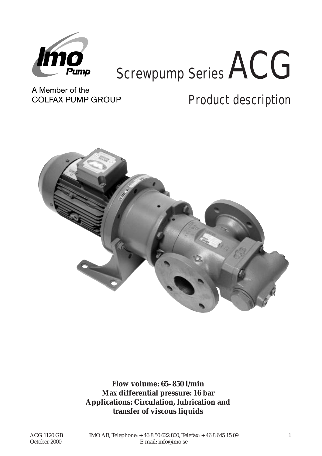

# Screwpump Series ACG

A Member of the **COLFAX PUMP GROUP** 

Product description



**Flow volume: 65–850 l/min Max differential pressure: 16 bar Applications: Circulation, lubrication and transfer of viscous liquids**

ACG 1120 GB October 2000

IMO AB, Telephone: + 46 8 50 622 800, Telefax: + 46 8 645 15 09 1 E-mail: info@imo.se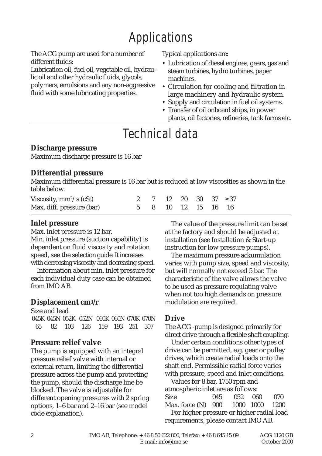# Applications

The ACG pump are used for a number of different fluids:

Lubrication oil, fuel oil, vegetable oil, hydraulic oil and other hydraulic fluids, glycols,

polymers, emulsions and any non-aggressive fluid with some lubricating properties.

Typical applications are:

- Lubrication of diesel engines, gears, gas and steam turbines, hydro turbines, paper machines.
- Circulation for cooling and filtration in large machinery and hydraulic system.
- Supply and circulation in fuel oil systems.
- Transfer of oil onboard ships, in power plants, oil factories, refineries, tank farms etc.

## Technical data

#### **Discharge pressure**

Maximum discharge pressure is 16 bar

#### **Differential pressure**

Maximum differential pressure is 16 bar but is reduced at low viscosities as shown in the table below.

| Viscosity, $mm^2/s$ (cSt) |  |  |                    | 2 7 12 20 30 37 $\geq 37$ |
|---------------------------|--|--|--------------------|---------------------------|
| Max. diff. pressure (bar) |  |  | 5 8 10 12 15 16 16 |                           |

#### **Inlet pressure**

Max. inlet pressure is 12 bar.

Min. inlet pressure (suction capability) is dependent on fluid viscosity and rotation speed, see the selection guide. It increases with decreasing viscosity and decreasing speed.

Information about min. inlet pressure for each individual duty case can be obtained from IMO AB.

### **Displacement cm3/r**

Size and lead 045K 045N 052K 052N 060K 060N 070K 070N 65 82 103 126 159 193 251 307

#### **Pressure relief valve**

The pump is equipped with an integral pressure relief valve with internal or external return, limiting the differential pressure across the pump and protecting the pump, should the discharge line be blocked. The valve is adjustable for different opening pressures with 2 spring options, 1–6 bar and 2–16 bar (see model code explanation).

The value of the pressure limit can be set at the factory and should be adjusted at installation (see Installation & Start-up instruction for low pressure pumps).

The maximum pressure ackumulation varies with pump size, speed and viscosity, but will normally not exceed 5 bar. The characteristic of the valve allows the valve to be used as pressure regulating valve when not too high demands on pressure modulation are required.

## **Drive**

The ACG -pump is designed primarily for direct drive through a flexible shaft coupling.

Under certain conditions other types of drive can be permitted, e.g. gear or pulley drives, which create radial loads onto the shaft end. Permissible radial force varies with pressure, speed and inlet conditions.

Values for 8 bar, 1750 rpm and atmospheric inlet are as follows: Size 045 052 060 070 Max. force (N) 900 1000 1000 1200 For higher pressure or higher radial load requirements, please contact IMO AB.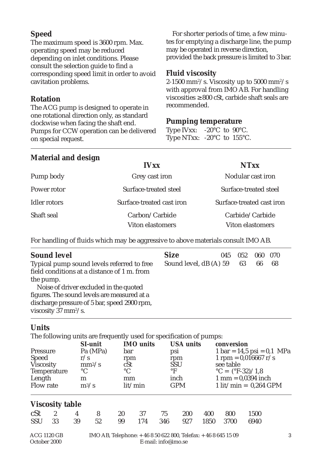#### **Speed**

The maximum speed is 3600 rpm. Max. operating speed may be reduced depending on inlet conditions. Please consult the selection guide to find a corresponding speed limit in order to avoid cavitation problems.

#### **Rotation**

The ACG pump is designed to operate in one rotational direction only, as standard clockwise when facing the shaft end. Pumps for CCW operation can be delivered on special request.

For shorter periods of time, a few minutes for emptying a discharge line, the pump may be operated in reverse direction, provided the back pressure is limited to 3 bar.

#### **Fluid viscosity**

2-1500 mm²/s. Viscosity up to 5000 mm²/s with approval from IMO AB. For handling viscosities  $\geq 800$  cSt, carbide shaft seals are recommended.

#### **Pumping temperature**

Type IVxx: -20°C to 90°C. Type NTxx: -20°C to 155°C.

#### **Material and design**

|                     | <b>IVxx</b>               | <b>NTxx</b>               |
|---------------------|---------------------------|---------------------------|
| Pump body           | Grey cast iron            | Nodular cast iron         |
| Power rotor         | Surface-treated steel     | Surface-treated steel     |
| <b>Idler rotors</b> | Surface-treated cast iron | Surface-treated cast iron |
| Shaft seal          | Carbon/Carbide            | Carbide/Carbide           |
|                     | <b>Viton elastomers</b>   | <b>Viton elastomers</b>   |

For handling of fluids which may be aggressive to above materials consult IMO AB.

| <b>Sound level</b>                                                                        | <b>Size</b>               | 045 | 052 | 060 | - 070 |
|-------------------------------------------------------------------------------------------|---------------------------|-----|-----|-----|-------|
| Typical pump sound levels referred to free<br>field conditions at a distance of 1 m. from | Sound level, dB (A) 59 63 |     |     | 66  | 68    |
| the pump.<br>Noise of driver excluded in the quoted                                       |                           |     |     |     |       |
| figures. The sound levels are measured at a                                               |                           |     |     |     |       |
| discharge pressure of 5 bar, speed 2900 rpm,<br>viscosity 37 $mm^2/s$ .                   |                           |     |     |     |       |

#### **Units**

The following units are frequently used for specification of pumps:

| <b>SI-unit</b><br>Pa (MPa)<br>Pressure<br><b>Speed</b><br>r/s<br><b>Viscosity</b><br>$mm^2/s$<br>$\rm ^{\circ}C$<br><b>Temperature</b><br>Length<br>m<br>Flow rate<br>$m^3/s$ |                        |    |                                                                                          | <b>IMO</b> units |     | <b>USA</b> units |            | conversion |                                                                                         |                        |          |  |  |  |
|-------------------------------------------------------------------------------------------------------------------------------------------------------------------------------|------------------------|----|------------------------------------------------------------------------------------------|------------------|-----|------------------|------------|------------|-----------------------------------------------------------------------------------------|------------------------|----------|--|--|--|
|                                                                                                                                                                               |                        |    |                                                                                          | bar              |     |                  | psi        |            | $1 bar = 14.5 psi = 0.1 MPa$                                                            |                        |          |  |  |  |
|                                                                                                                                                                               |                        |    |                                                                                          | rpm              |     |                  | rpm        |            |                                                                                         | $1$ rpm = 0,016667 r/s |          |  |  |  |
|                                                                                                                                                                               |                        |    |                                                                                          | cSt              |     |                  | <b>SSU</b> |            | see table<br>$^{\circ}C = (^{\circ}F - 32)/1,8$<br>$1 \text{ mm} = 0.0394 \text{ inch}$ |                        |          |  |  |  |
|                                                                                                                                                                               |                        |    |                                                                                          | $\rm ^{\circ}C$  |     | $\circ$ F        |            |            |                                                                                         |                        |          |  |  |  |
|                                                                                                                                                                               |                        |    |                                                                                          | mm               |     |                  | inch       |            |                                                                                         |                        |          |  |  |  |
|                                                                                                                                                                               |                        |    |                                                                                          | lit/min          |     |                  | <b>GPM</b> |            | $1 \text{ lit/min} = 0.264 \text{ GPM}$                                                 |                        |          |  |  |  |
|                                                                                                                                                                               | <b>Viscosity table</b> |    |                                                                                          |                  |     |                  |            |            |                                                                                         |                        |          |  |  |  |
| cSt                                                                                                                                                                           | $\mathbf{2}$           | 4  | 8                                                                                        | 20               | 37  | 75               | 200        | 400        | 800                                                                                     | 1500                   |          |  |  |  |
| <b>SSU</b>                                                                                                                                                                    | 33                     | 39 | 52                                                                                       | 99               | 174 | 346              | 927        | 1850       | 3700                                                                                    | 6940                   |          |  |  |  |
| $ACC$ 1190 $CD$                                                                                                                                                               |                        |    | $M \cap \Lambda$ Probabana $\Lambda$ C C C C C C C O C Tricker $\Lambda$ C C C L I C O C |                  |     |                  |            |            |                                                                                         |                        | $\Omega$ |  |  |  |

IMO AB, Telephone: + 46 8 50 622 800, Telefax: + 46 8 645 15 09 3 E-mail: info@imo.se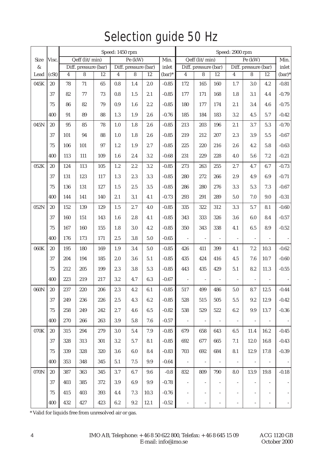## Selection guide 50 Hz

|              |        | Speed: 1450 rpm           |                           |     |                         |                           |         |                    |                             | Speed: 2900 rpm           |                          |                          |                                                   |                              |           |
|--------------|--------|---------------------------|---------------------------|-----|-------------------------|---------------------------|---------|--------------------|-----------------------------|---------------------------|--------------------------|--------------------------|---------------------------------------------------|------------------------------|-----------|
| Size         | Visc.  | Qeff (lit/min)<br>Pe (kW) |                           |     |                         |                           |         | Min.               | Qeff (lit/min)<br>$Pe$ (kW) |                           |                          |                          |                                                   | Min.<br>inlet                |           |
| $\&$<br>Lead | (cSt)  | $\overline{4}$            | Diff. pressure (bar)<br>8 | 12  | $\overline{\mathbf{4}}$ | Diff. pressure (bar)<br>8 | 12      | inlet<br>$(bar)^*$ | $\overline{4}$              | Diff. pressure (bar)<br>8 | 12                       |                          | Diff. pressure (bar)<br>$\overline{4}$<br>8<br>12 |                              |           |
| 045K         | 20     | 78                        | 71                        | 65  | 0.8                     | 1.4                       | 2.0     | $-0.85$            | 172                         | 165                       | 160                      | $1.7\,$                  | 3.0                                               | 4.2                          | $(bar)^*$ |
|              |        |                           |                           |     |                         |                           |         |                    |                             |                           |                          |                          |                                                   |                              | $-0.81$   |
|              | 37     | 82                        | $77\,$                    | 73  | 0.8                     | 1.5                       | 2.1     | $-0.85$            | 177                         | 171                       | 168                      | 1.8                      | 3.1                                               | 4.4                          | $-0.79$   |
|              | 75     | 86                        | 82                        | 79  | 0.9                     | $1.6\,$                   | $2.2\,$ | $-0.85$            | 180                         | 177                       | 174                      | 2.1                      | 3.4                                               | 4.6                          | $-0.75$   |
|              | 400    | 91                        | 89                        | 88  | 1.3                     | 1.9                       | 2.6     | $-0.76$            | 185                         | 184                       | 183                      | 3.2                      | 4.5                                               | 5.7                          | $-0.42$   |
| 045N         | $20\,$ | 95                        | 85                        | 78  | 1.0                     | 1.8                       | 2.6     | $-0.85$            | 213                         | 203                       | 196                      | 2.1                      | 3.7                                               | 5.3                          | $-0.70$   |
|              | 37     | 101                       | 94                        | 88  | 1.0                     | 1.8                       | $2.6\,$ | $-0.85$            | 219                         | 212                       | 207                      | 2.3                      | $3.9\,$                                           | 5.5                          | $-0.67$   |
|              | 75     | 106                       | 101                       | 97  | 1.2                     | 1.9                       | 2.7     | $-0.85$            | 225                         | 220                       | 216                      | 2.6                      | 4.2                                               | 5.8                          | $-0.63$   |
|              | 400    | 113                       | 111                       | 109 | 1.6                     | 2.4                       | 3.2     | $-0.68$            | 231                         | 229                       | 228                      | 4.0                      | $5.6\,$                                           | 7.2                          | $-0.21$   |
| 052K         | $20\,$ | 124                       | 113                       | 105 | 1.2                     | 2.2                       | 3.2     | $-0.85$            | 273                         | 263                       | 255                      | 2.7                      | 4.7                                               | 6.7                          | $-0.73$   |
|              | 37     | 131                       | 123                       | 117 | 1.3                     | 2.3                       | $3.3\,$ | $-0.85$            | 280                         | 272                       | 266                      | 2.9                      | 4.9                                               | 6.9                          | $-0.71$   |
|              | 75     | 136                       | 131                       | 127 | 1.5                     | 2.5                       | 3.5     | $-0.85$            | 286                         | 280                       | 276                      | 3.3                      | 5.3                                               | 7.3                          | $-0.67$   |
|              | 400    | 144                       | 141                       | 140 | 2.1                     | 3,1                       | 4.1     | $-0.73$            | 293                         | 291                       | 289                      | $5.0\,$                  | $7.0\,$                                           | 9.0                          | $-0.31$   |
| 052N         | $20\,$ | 152                       | 139                       | 129 | 1.5                     | 2.7                       | 4.0     | $-0.85$            | 335                         | 322                       | 312                      | $\!3.3\!$                | 5.7                                               | 8.1                          | $-0.60$   |
|              | 37     | 160                       | 151                       | 143 | 1.6                     | 2.8                       | 4.1     | $-0.85$            | 343                         | 333                       | 326                      | $3.6\,$                  | 6.0                                               | 8.4                          | $-0.57$   |
|              | 75     | 167                       | 160                       | 155 | 1.8                     | $3.0\,$                   | 4.2     | $-0.85$            | 350                         | 343                       | 338                      | 4.1                      | $6.5\,$                                           | 8.9                          | $-0.52$   |
|              | 400    | 176                       | 173                       | 171 | 2.5                     | 3.8                       | $5.0\,$ | $-0.65$            | $\overline{a}$              | $\sim$                    | $\overline{\phantom{a}}$ | $\sim$                   | $\sim$                                            |                              |           |
| 060K         | $20\,$ | 195                       | 180                       | 169 | 1.9                     | 3.4                       | $5.0\,$ | $-0.85$            | 426                         | 411                       | 399                      | 4.1                      | 7.2                                               | 10.3                         | $-0.62$   |
|              | 37     | 204                       | 194                       | 185 | 2.0                     | 3.6                       | 5.1     | $-0.85$            | 435                         | 424                       | 416                      | 4.5                      | 7.6                                               | 10.7                         | $-0.60$   |
|              | 75     | 212                       | 205                       | 199 | 2.3                     | 3.8                       | 5.3     | $-0.85$            | 443                         | 435                       | 429                      | 5.1                      | 8.2                                               | 11.3                         | $-0.55$   |
|              | 400    | 223                       | 219                       | 217 | 3.2                     | 4.7                       | 6.3     | $-0.67$            |                             |                           |                          |                          |                                                   |                              |           |
| 060N         | $20\,$ | 237                       | 220                       | 206 | $2.3\,$                 | 4.2                       | 6.1     | $-0.85$            | 517                         | 499                       | 486                      | 5.0                      | 8.7                                               | 12.5                         | $-0.44$   |
|              | $37\,$ | 249                       | 236                       | 226 | $2.5\,$                 | 4.3                       | 6.2     | $-0.85$            | 528                         | 515                       | 505                      | $5.5\,$                  | 9.2                                               | 12.9                         | $-0.42$   |
|              | 75     | 258                       | 249                       | 242 | 2.7                     | 4.6                       | 6.5     | $-0.82$            | 538                         | 529                       | 522                      | 6.2                      | 9.9                                               | 13.7                         | $-0.36$   |
|              | 400    | 270                       | 266                       | 263 | 3.9                     | 5.8                       | 7.6     | $-0.57$            | $\overline{\phantom{a}}$    | $\overline{\phantom{a}}$  | $\overline{\phantom{a}}$ | $\overline{\phantom{a}}$ | $\overline{\phantom{a}}$                          | $\overline{\phantom{a}}$     |           |
| 070K         | 20     | 315                       | 294                       | 279 | 3.0                     | 5.4                       | 7.9     | $-0.85$            | 679                         | 658                       | 643                      | $6.5\,$                  | 11.4                                              | 16.2                         | $-0.45$   |
|              | 37     | 328                       | 313                       | 301 | 3.2                     | 5.7                       | 8.1     | $-0.85$            | 692                         | 677                       | 665                      | 7.1                      | 12.0                                              | 16.8                         | $-0.43$   |
|              | 75     | 339                       | 328                       | 320 | $3.6\,$                 | $6.0\,$                   | 8.4     | $-0.83$            | 703                         | 692                       | 684                      | 8.1                      | 12.9                                              | 17.8                         | $-0.39$   |
|              | 400    | 353                       | 348                       | 345 | 5.1                     | $7.5\,$                   | 9.9     | $-0.64$            | $\omega$                    | $\overline{\phantom{a}}$  | $\bar{\phantom{a}}$      | $\omega$                 | $\overline{\phantom{a}}$                          | ä,                           |           |
| 070N         | 20     | 387                       | 363                       | 345 | 3.7                     | 6.7                       | 9.6     | $-0.8$             | 832                         | 809                       | 790                      | 8.0                      | 13.9                                              | 19.8                         | $-0.18$   |
|              | 37     | 403                       | 385                       | 372 | 3.9                     | $6.9\,$                   | 9.9     | $-0.78$            | $\overline{\phantom{a}}$    | $\blacksquare$            | $\overline{\phantom{a}}$ | $\bar{a}$                | $\bar{a}$                                         | $\blacksquare$               |           |
|              | $75\,$ | 415                       | 403                       | 393 | 4.4                     | 7.3                       | 10.3    | $-0.76$            | $\overline{\phantom{a}}$    | $\overline{\phantom{a}}$  | $\overline{\phantom{m}}$ |                          | $\overline{\phantom{a}}$                          |                              |           |
|              | 400    | 432                       | 427                       | 423 | 6.2                     | $9.2\,$                   | 12.1    | $-0.52$            | $\overline{\phantom{a}}$    | $\overline{\phantom{a}}$  | $\blacksquare$           |                          | $\overline{\phantom{a}}$                          | $\qquad \qquad \blacksquare$ |           |

\* Valid for liquids free from unresolved air or gas.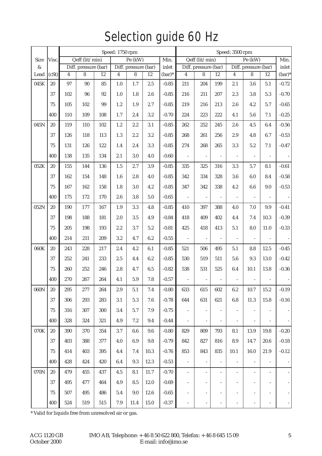## Selection guide 60 Hz

|      |        | Speed: 1750 rpm |                      |        |                |                      |         |          |                          | Speed: 3500 rpm           |                          |                          |                                                   |                          |                          |
|------|--------|-----------------|----------------------|--------|----------------|----------------------|---------|----------|--------------------------|---------------------------|--------------------------|--------------------------|---------------------------------------------------|--------------------------|--------------------------|
| Size | Visc.  |                 | Qeff (lit/min)       |        |                | $Pe$ (kW)            |         | Min.     |                          | Qeff (lit/min)<br>Pe (kW) |                          |                          |                                                   |                          | Min.<br>inlet            |
| $\&$ |        |                 | Diff. pressure (bar) |        |                | Diff. pressure (bar) |         | inlet    |                          | Diff. pressure (bar)      |                          |                          | Diff. pressure (bar)<br>$\overline{4}$<br>8<br>12 |                          |                          |
| Lead | (cSt)  | $\overline{4}$  | 8                    | 12     | $\overline{4}$ | 8                    | 12      | $(bar)*$ | $\overline{4}$           | 8                         | 12                       |                          |                                                   |                          | $(bar)*$                 |
| 045K | 20     | 97              | $90\,$               | 85     | 1.0            | $1.7\,$              | $2.5\,$ | $-0.85$  | 211                      | 204                       | 199                      | 2.1                      | 3.6                                               | 5.1                      | $-0.72$                  |
|      | 37     | 102             | 96                   | $92\,$ | 1.0            | 1.8                  | 2.6     | $-0.85$  | 216                      | 211                       | 207                      | 2.3                      | 3.8                                               | $5.3\,$                  | $-0.70$                  |
|      | 75     | 105             | 102                  | $99\,$ | 1.2            | 1.9                  | 2.7     | $-0.85$  | 219                      | 216                       | 213                      | 2.6                      | 4.2                                               | 5.7                      | $-0.65$                  |
|      | 400    | 110             | 109                  | 108    | 1.7            | 2.4                  | 3.2     | $-0.70$  | 224                      | 223                       | 222                      | 4.1                      | 5.6                                               | 7.1                      | $-0.25$                  |
| 045N | $20\,$ | 119             | 110                  | 102    | 1.2            | 2.2                  | 3.1     | $-0.85$  | 262                      | 252                       | 245                      | 2.6                      | 4.5                                               | 6.4                      | $-0.56$                  |
|      | 37     | 126             | 118                  | 113    | 1.3            | 2.2                  | $3.2\,$ | $-0.85$  | 268                      | 261                       | 256                      | 2.9                      | 4.8                                               | 6.7                      | $-0.53$                  |
|      | 75     | 131             | 126                  | 122    | 1.4            | 2.4                  | 3.3     | $-0.85$  | 274                      | 268                       | 265                      | $3.3\,$                  | 5.2                                               | 7.1                      | $-0.47$                  |
|      | 400    | 138             | 135                  | 134    | 2.1            | 3.0                  | 4.0     | $-0.60$  | $\omega$                 | $\overline{\phantom{a}}$  | $\overline{\phantom{a}}$ | $\overline{\phantom{a}}$ | $\overline{\phantom{a}}$                          |                          |                          |
| 052K | $20\,$ | 155             | 144                  | 136    | 1.5            | 2.7                  | 3.9     | $-0.85$  | 335                      | 325                       | 316                      | 3.3                      | 5.7                                               | 8.1                      | $-0.61$                  |
|      | 37     | 162             | 154                  | 148    | 1.6            | $2.8\,$              | 4.0     | $-0.85$  | 342                      | 334                       | 328                      | $3.6\,$                  | 6.0                                               | 8.4                      | $-0.58$                  |
|      | 75     | 167             | 162                  | 158    | 1.8            | 3.0                  | 4.2     | $-0.85$  | 347                      | 342                       | 338                      | 4.2                      | $6.6\,$                                           | 9.0                      | $-0.53$                  |
|      | 400    | 175             | 172                  | 170    | 2.6            | 3.8                  | $5.0\,$ | $-0.65$  | $\overline{\phantom{a}}$ | $\Box$                    | $\overline{\phantom{a}}$ | $\overline{a}$           | $\bar{a}$                                         | ÷,                       |                          |
| 052N | $20\,$ | 190             | 177                  | 167    | 1.9            | $\!3.3\!$            | 4.8     | $-0.85$  | 410                      | 397                       | 388                      | 4.0                      | $7.0\,$                                           | $\,9.9$                  | $-0.41$                  |
|      | 37     | 198             | 188                  | 181    | 2.0            | 3.5                  | 4.9     | $-0.84$  | 418                      | 409                       | 402                      | 4.4                      | 7.4                                               | 10.3                     | $-0.39$                  |
|      | 75     | 205             | 198                  | 193    | 2.2            | 3.7                  | 5.2     | $-0.81$  | 425                      | 418                       | 413                      | 5.1                      | 8.0                                               | 11.0                     | $-0.33$                  |
|      | 400    | 214             | 211                  | 209    | 3.2            | 4.7                  | 6.2     | $-0.55$  | $\mathcal{L}$            | ÷.                        | $\overline{\phantom{a}}$ | $\mathbb{Z}^2$           | $\sim$                                            | $\bar{a}$                |                          |
| 060K | $20\,$ | 243             | 228                  | 217    | 2.4            | 4.2                  | 6.1     | $-0.85$  | 521                      | 506                       | 495                      | 5.1                      | 8.8                                               | 12.5                     | $-0.45$                  |
|      | 37     | 252             | 241                  | 233    | 2.5            | 4.4                  | $6.2\,$ | $-0.85$  | 530                      | 519                       | 511                      | 5.6                      | 9.3                                               | 13.0                     | $-0.42$                  |
|      | 75     | 260             | 252                  | 246    | 2.8            | 4.7                  | 6.5     | $-0.82$  | 538                      | 531                       | 525                      | 6.4                      | 10.1                                              | 13.8                     | $-0.36$                  |
|      | 400    | 270             | 267                  | 264    | 4.1            | $5.9\,$              | $7.8\,$ | $-0.57$  | $\omega$                 | $\equiv$                  | $\overline{\phantom{a}}$ |                          | $\omega$                                          | $\sim$                   |                          |
| 060N | $20\,$ | 295             | 277                  | 264    | 2.9            | 5.1                  | 7.4     | $-0.80$  | 633                      | 615                       | 602                      | 6.2                      | 10.7                                              | 15.2                     | $-0.19$                  |
|      | $37\,$ | 306             | 293                  | 283    | 3.1            | $5.3\,$              | 7.6     | $-0.78$  | 644                      | 631                       | 621                      | $6.8\,$                  | 11.3                                              | 15.8                     | $-0.16$                  |
|      | 75     | 316             | 307                  | 300    | 3.4            | 5.7                  | 7.9     | $-0.75$  | $\overline{\phantom{a}}$ | ÷.                        | $\blacksquare$           | $\overline{\phantom{a}}$ | $\overline{\phantom{a}}$                          | $\overline{\phantom{a}}$ | $\overline{\phantom{a}}$ |
|      | 400    | 328             | 324                  | 321    | 4.9            | $7.2\,$              | 9.4     | $-0.44$  |                          | $\blacksquare$            | $\overline{\phantom{a}}$ |                          | $\overline{\phantom{a}}$                          |                          | $\equiv$                 |
| 070K | $20\,$ | 390             | 370                  | 354    | 3.7            | 6.6                  | 9.6     | $-0.80$  | 829                      | 809                       | 793                      | 8.1                      | 13.9                                              | 19.8                     | $-0.20$                  |
|      | 37     | 403             | 388                  | 377    | 4.0            | 6.9                  | $\,9.8$ | $-0.79$  | 842                      | 827                       | 816                      | 8.9                      | 14.7                                              | 20.6                     | $-0.18$                  |
|      | 75     | 414             | 403                  | 395    | 4.4            | 7.4                  | 10.3    | $-0.76$  | 853                      | 843                       | 835                      | 10.1                     | 16.0                                              | 21.9                     | $-0.12$                  |
|      | 400    | 428             | 424                  | 420    | 6.4            | 9.3                  | 12.3    | $-0.53$  | $\overline{\phantom{a}}$ | ÷.                        | $\blacksquare$           | $\overline{\phantom{a}}$ | $\overline{\phantom{a}}$                          | $\blacksquare$           | $\sim$                   |
| 070N | 20     | 479             | 455                  | 437    | 4.5            | 8.1                  | 11.7    | $-0.70$  | $\overline{\phantom{a}}$ | $\overline{\phantom{a}}$  | $\blacksquare$           | $\overline{\phantom{a}}$ | $\overline{\phantom{a}}$                          | $\overline{\phantom{a}}$ | $\overline{a}$           |
|      | 37     | 495             | 477                  | 464    | 4.9            | 8.5                  | 12.0    | $-0.69$  | $\bar{\phantom{a}}$      | $\overline{\phantom{a}}$  | $\frac{1}{2}$            | $\overline{\phantom{a}}$ | $\overline{\phantom{a}}$                          | $\blacksquare$           | $\overline{\phantom{a}}$ |
|      | $75\,$ | 507             | 495                  | 486    | 5.4            | 9.0                  | 12.6    | $-0.65$  | $\overline{\phantom{a}}$ | $\overline{\phantom{a}}$  | $\overline{\phantom{a}}$ | $\overline{\phantom{a}}$ | $\overline{\phantom{a}}$                          | $\overline{\phantom{a}}$ | $\overline{\phantom{a}}$ |
|      | 400    | 524             | 519                  | 515    | 7.9            | 11.4                 | 15.0    | $-0.37$  | $\overline{\phantom{a}}$ | $\overline{\phantom{a}}$  | $\overline{\phantom{0}}$ | $\overline{\phantom{a}}$ | $\overline{\phantom{a}}$                          | $\overline{\phantom{a}}$ | $\overline{\phantom{a}}$ |

\* Valid for liquids free from unresolved air or gas.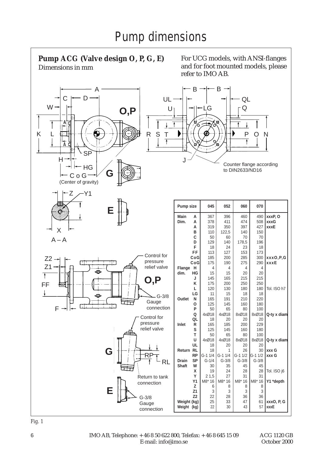

*Fig. 1*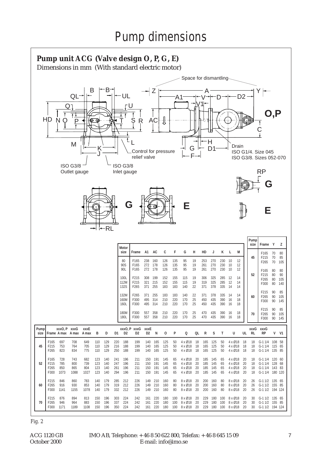

*Fig. 2*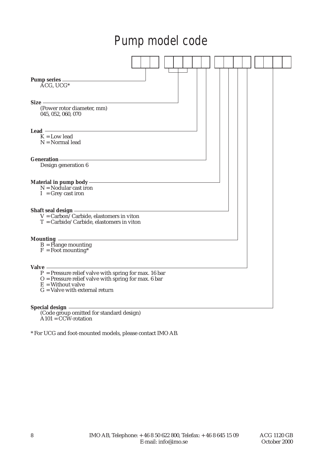## Pump model code



(Code group omitted for standard design)  $A101 = CCW-rotation$ 

\* For UCG and foot-mounted models, please contact IMO AB*.*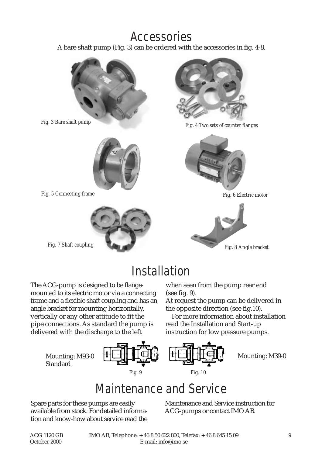## Accessories

A bare shaft pump (Fig. 3) can be ordered with the accessories in fig. 4-8.







*Fig. 5 Connecting frame Fig. 6 Electric motor*





Fig. 3 Bare shaft pump<br>Fig. 4 Two sets of counter flanges





## Installation

The ACG-pump is designed to be flangemounted to its electric motor via a connecting frame and a flexible shaft coupling and has an angle bracket for mounting horizontally, vertically or any other attitude to fit the pipe connections. As standard the pump is delivered with the discharge to the left

> Mounting: M93-0 **Standard**



when seen from the pump rear end (see fig. 9).

At request the pump can be delivered in the opposite direction (see fig.10).

For more information about installation read the Installation and Start-up instruction for low pressure pumps.



Mounting: M39-0

## Maintenance and Service

Spare parts for these pumps are easily available from stock. For detailed information and know-how about service read the Maintenance and Service instruction for ACG-pumps or contact IMO AB.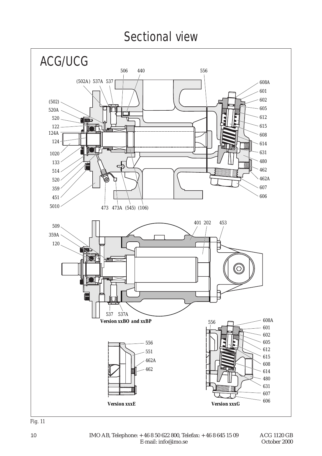## Sectional view

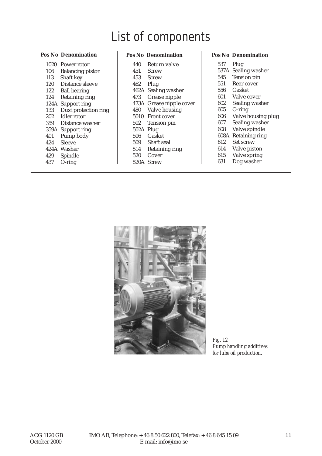## List of components

| 1020 | Power rotor             |
|------|-------------------------|
| 106  | <b>Balancing piston</b> |
| 113  | Shaft key               |
| 120  | Distance sleeve         |
| 122  | <b>Ball bearing</b>     |
| 124  | Retaining ring          |
|      | 124A Support ring       |
| 133  | Dust protection ring    |
| 202  | <b>Idler</b> rotor      |
| 359  | Distance washer         |
|      | 359A Support ring       |
| 401  | Pump body               |
| 424  | Sleeve                  |
|      | 424A Washer             |
| 429  | Spindle                 |
| 437  | $O$ -ring               |
|      |                         |

#### **Pos No Denomination Pos No Denomination Pos No Denomination**

| 440       | Return valve             |
|-----------|--------------------------|
| 451       | <b>Screw</b>             |
| 453       | Screw                    |
| 462 Plug  |                          |
|           | 462A Sealing washer      |
| 473       | Grease nipple            |
|           | 473A Grease nipple cover |
| 480       | Valve housing            |
|           | 5010 Front cover         |
| 502       | Tension pin              |
| 502A Plug |                          |
| 506       | <b>Gasket</b>            |
|           | 509 Shaft seal           |
| 514       | Retaining ring           |
| 520       | Cover                    |
|           | 520A Screw               |
|           |                          |

- 537 Plug
- 537A Sealing washer
- 545 Tension pin
- 551 Rear cover<br>556 Gasket
- 556 Gasket
- 601 Valve cover<br>602 Sealing was
- 602 Sealing washer
- 605 O-ring
- 606 Valve housing plug<br>607 Sealing washer
- Sealing washer
- 608 Valve spindle
- 608A Retaining ring
- 612 Set screw<br>614 Valve pist
- Valve piston
- 615 Valve spring<br>631 Dog washer
- Dog washer



*Fig. 12 Pump handling additives for lube oil production.*